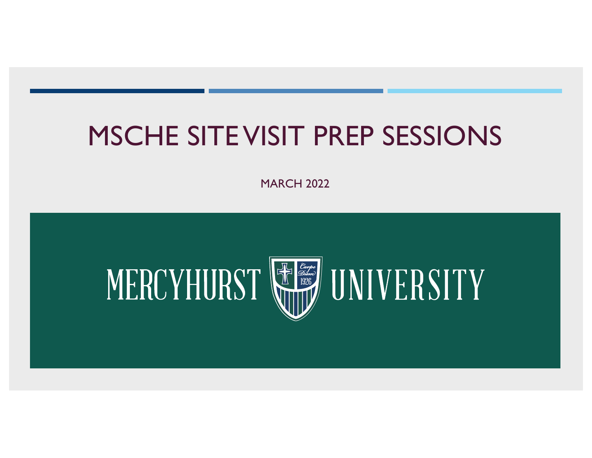### MSCHE SITEVISIT PREP SESSIONS

MARCH 2022

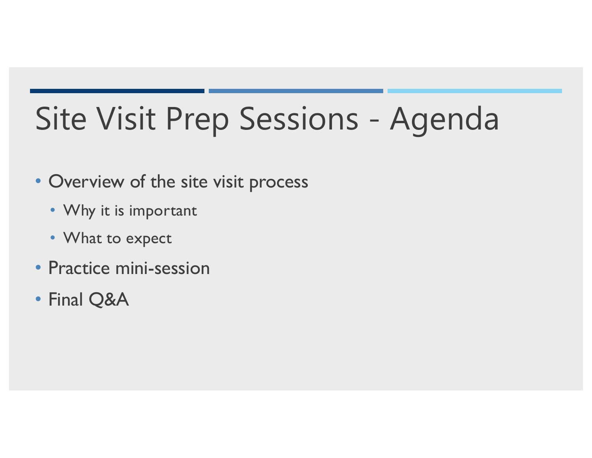# Site Visit Prep Sessions - Agenda

#### • Overview of the site visit process

- Why it is important
- What to expect
- Practice mini-session
- Final Q&A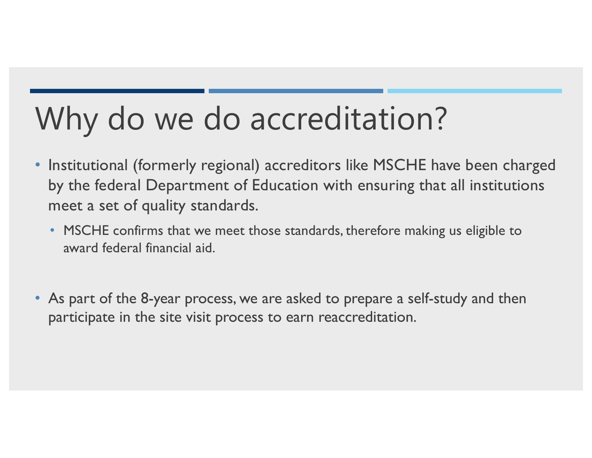## Why do we do accreditation?

- • Institutional (formerly regional) accreditors like MSCHE have been charged by the federal Department of Education with ensuring that all institutions meet a set of quality standards.
	- MSCHE confirms that we meet those standards, therefore making us eligible to award federal financial aid.
- • As part of the 8-year process, we are asked to prepare a self-study and then participate in the site visit process to earn reaccreditation.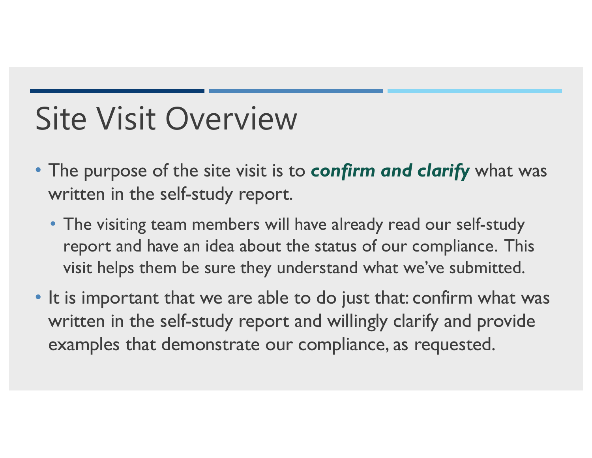## Site Visit Overview

- • The purpose of the site visit is to *confirm and clarify* what was written in the self-study report.
	- • The visiting team members will have already read our self-study report and have an idea about the status of our compliance. This visit helps them be sure they understand what we've submitted.
- • It is important that we are able to do just that: confirm what was written in the self-study report and willingly clarify and provide examples that demonstrate our compliance, as requested.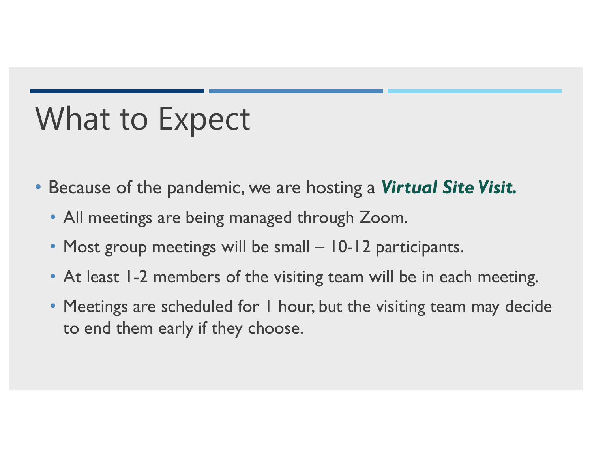## What to Expect

- • Because of the pandemic, we are hosting a *Virtual Site Visit.* 
	- All meetings are being managed through Zoom.
	- Most group meetings will be small 10-12 participants.
	- At least 1-2 members of the visiting team will be in each meeting.
	- Meetings are scheduled for I hour, but the visiting team may decide to end them early if they choose.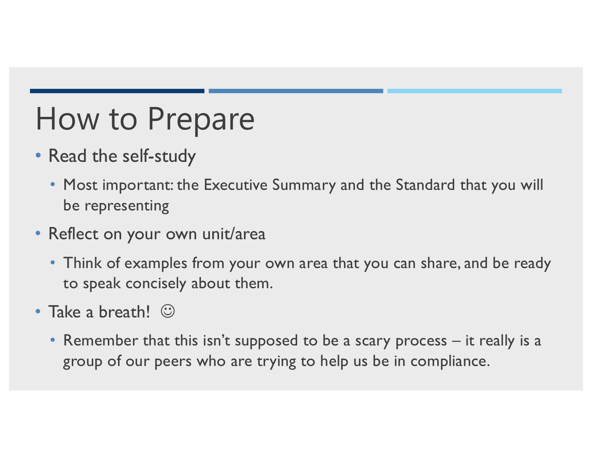## How to Prepare

- • Read the self-study
	- • Most important: the Executive Summary and the Standard that you will be representing
- • Reflect on your own unit/area
	- • Think of examples from your own area that you can share, and be ready to speak concisely about them.
- Take a breath! ©
	- • Remember that this isn't supposed to be a scary process it really is a group of our peers who are trying to help us be in compliance.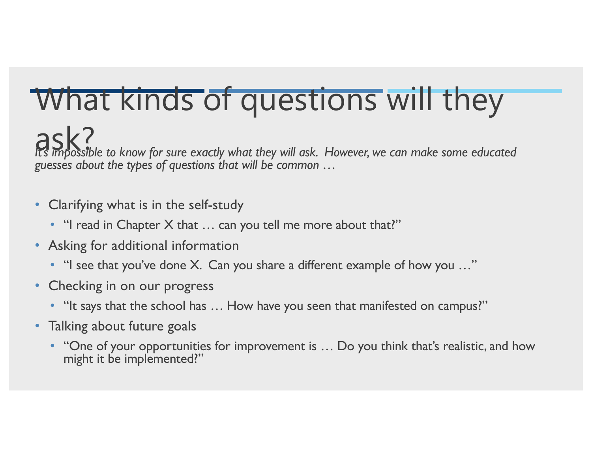## What kinds of questions will they

ask?<br>It's impossible to know for sure exactly what they will ask. However, we can make some educated *guesses about the types of questions that will be common …* 

- • Clarifying what is in the self-study
	- "I read in Chapter X that ... can you tell me more about that?"
- • Asking for additional information
	- "I see that you've done X. Can you share a different example of how you ..."
- Checking in on our progress
	- "It says that the school has ... How have you seen that manifested on campus?"
- • Talking about future goals
	- "One of your opportunities for improvement is ... Do you think that's realistic, and how might it be implemented?"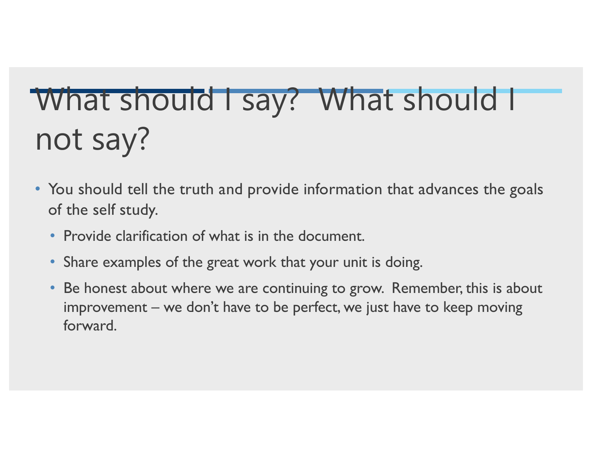# What should I say? What should I not say?

- You should tell the truth and provide information that advances the goals of the self study.
	- Provide clarification of what is in the document.
	- Share examples of the great work that your unit is doing.
	- • Be honest about where we are continuing to grow. Remember, this is about improvement – we don't have to be perfect, we just have to keep moving forward.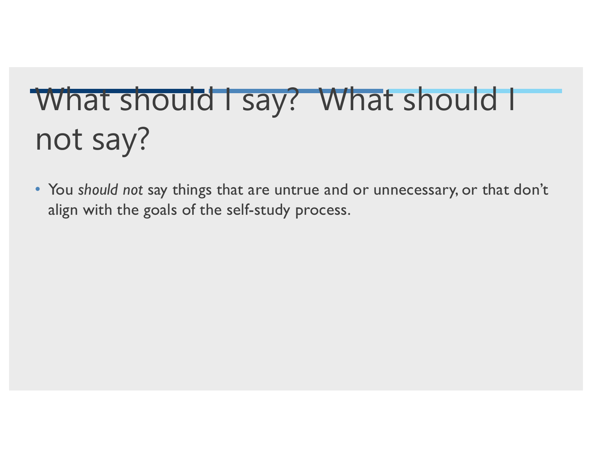# What should I say? What should I not say?

 • You *should not* say things that are untrue and or unnecessary, or that don't align with the goals of the self-study process.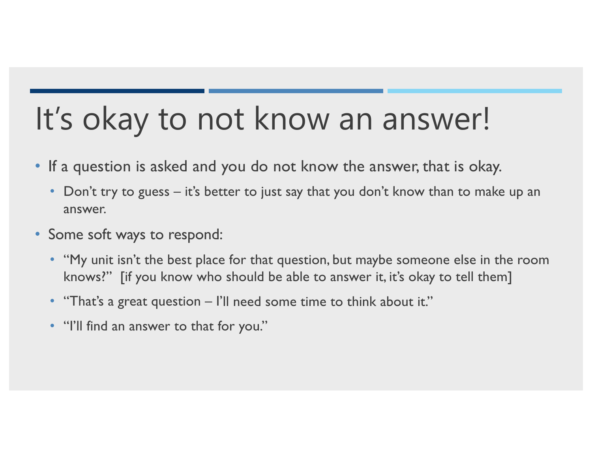## It's okay to not know an answer!

- • If a question is asked and you do not know the answer, that is okay.
	- Don't try to guess it's better to just say that you don't know than to make up an answer.
- • Some soft ways to respond:
	- • "My unit isn't the best place for that question, but maybe someone else in the room knows?" [if you know who should be able to answer it, it's okay to tell them]
	- "That's a great question I'll need some time to think about it."
	- "I'll find an answer to that for you."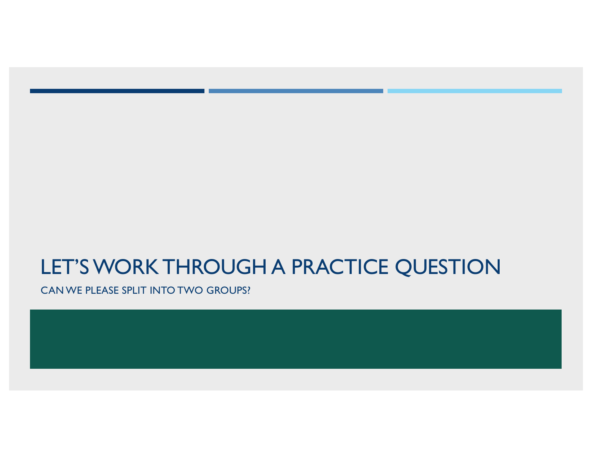### LET'S WORK THROUGH A PRACTICE QUESTION

CAN WE PLEASE SPLIT INTO TWO GROUPS?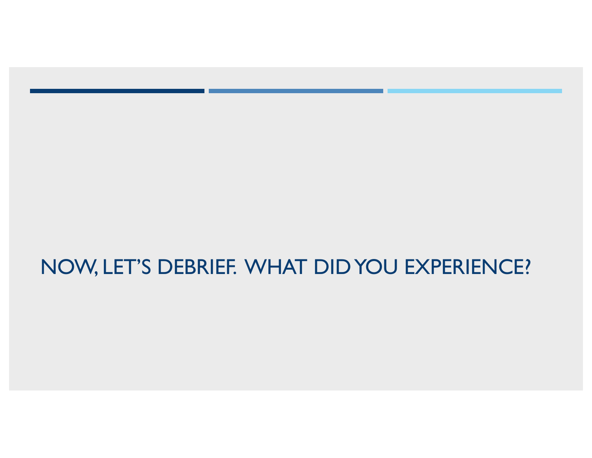### NOW, LET'S DEBRIEF. WHAT DID YOU EXPERIENCE?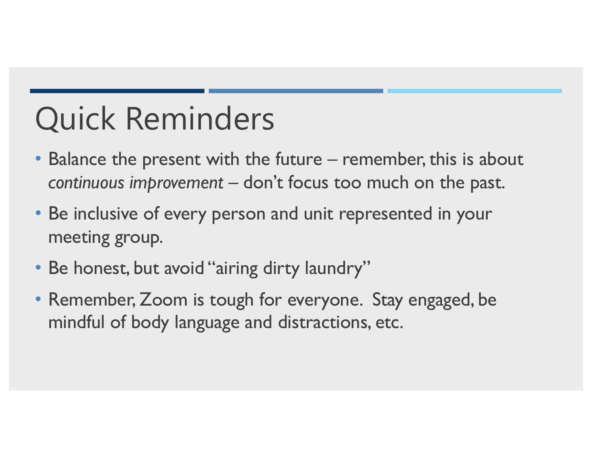# Quick Reminders

- • Balance the present with the future remember, this is about *continuous improvement* – don't focus too much on the past.
- • Be inclusive of every person and unit represented in your meeting group.
- Be honest, but avoid "airing dirty laundry"
- • Remember, Zoom is tough for everyone. Stay engaged, be mindful of body language and distractions, etc.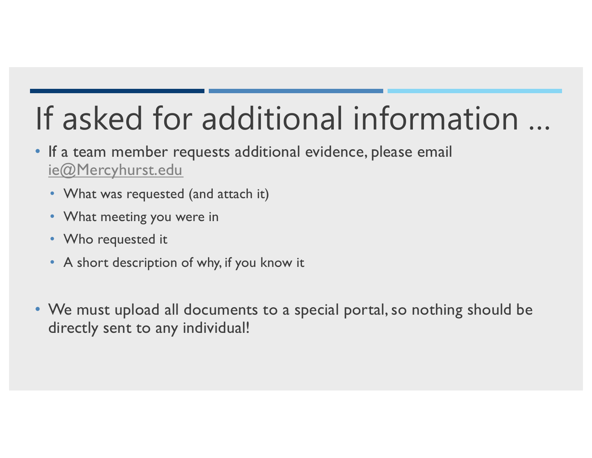# If asked for additional information …

- • If a team member requests additional evidence, please email [ie@Mercyhurst.edu](mailto:ie@Mercyhurst.edu)
	- What was requested (and attach it)
	- What meeting you were in
	- Who requested it
	- A short description of why, if you know it
- • We must upload all documents to a special portal, so nothing should be directly sent to any individual!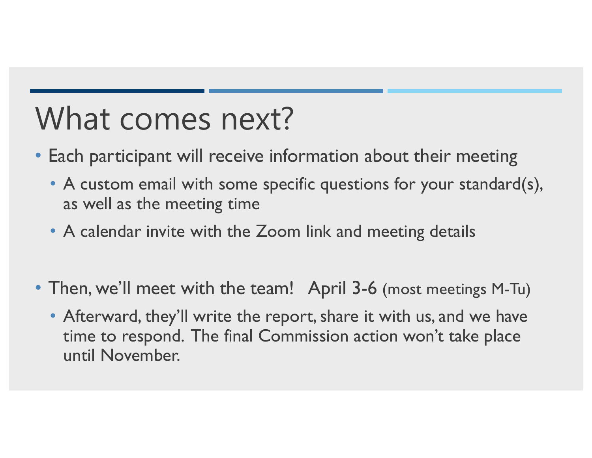## What comes next?

- • Each participant will receive information about their meeting
	- • A custom email with some specific questions for your standard(s), as well as the meeting time
	- A calendar invite with the Zoom link and meeting details
- • Then, we'll meet with the team! April 3-6 (most meetings M-Tu)
	- • Afterward, they'll write the report, share it with us, and we have time to respond. The final Commission action won't take place until November.